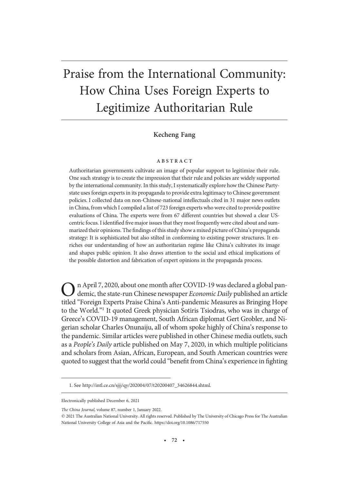# Praise from the International Community: How China Uses Foreign Experts to Legitimize Authoritarian Rule

# Kecheng Fang

### ABSTRACT

Authoritarian governments cultivate an image of popular support to legitimize their rule. One such strategy is to create the impression that their rule and policies are widely supported by the international community. In this study, I systematically explore how the Chinese Partystate uses foreign experts in its propaganda to provide extra legitimacy to Chinese government policies. I collected data on non-Chinese-national intellectuals cited in 31 major news outlets in China, from which I compiled a list of 723 foreign experts who were cited to provide positive evaluations of China. The experts were from 67 different countries but showed a clear UScentric focus. I identified five major issues that they most frequently were cited about and summarized their opinions. The findings of this study show a mixed picture of China's propaganda strategy: It is sophisticated but also stilted in conforming to existing power structures. It enriches our understanding of how an authoritarian regime like China's cultivates its image and shapes public opinion. It also draws attention to the social and ethical implications of the possible distortion and fabrication of expert opinions in the propaganda process.

 $\int$  n April 7, 2020, about one month after COVID-19 was declared a global pandemic, the state-run Chinese newspaper Economic Daily published an article titled "Foreign Experts Praise China's Anti-pandemic Measures as Bringing Hope to the World."<sup>1</sup> It quoted Greek physician Sotiris Tsiodras, who was in charge of Greece's COVID-19 management, South African diplomat Gert Grobler, and Nigerian scholar Charles Onunaiju, all of whom spoke highly of China's response to the pandemic. Similar articles were published in other Chinese media outlets, such as a People's Daily article published on May 7, 2020, in which multiple politicians and scholars from Asian, African, European, and South American countries were quoted to suggest that the world could "benefit from China's experience in fighting

The China Journal, volume 87, number 1, January 2022.

<sup>1.</sup> See http://intl.ce.cn/sjjj/qy/202004/07/t20200407\_34626844.shtml.

Electronically published December 6, 2021

 $©$  2021 The Australian National University. All rights reserved. Published by The University of Chicago Press for The Australian National University College of Asia and the Pacific. https://doi.org/10.1086/717550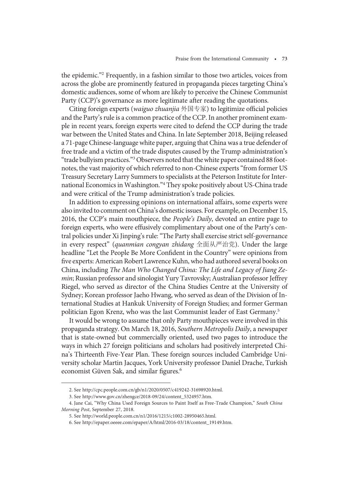the epidemic."<sup>2</sup> Frequently, in a fashion similar to those two articles, voices from across the globe are prominently featured in propaganda pieces targeting China's domestic audiences, some of whom are likely to perceive the Chinese Communist Party (CCP)'s governance as more legitimate after reading the quotations.

Citing foreign experts (waiguo zhuanjia 外国专家) to legitimize official policies and the Party's rule is a common practice of the CCP. In another prominent example in recent years, foreign experts were cited to defend the CCP during the trade war between the United States and China. In late September 2018, Beijing released a 71-page Chinese-language white paper, arguing that China was a true defender of free trade and a victim of the trade disputes caused by the Trump administration's "trade bullyism practices."<sup>3</sup> Observers noted that the white paper contained 88 footnotes, the vast majority of which referred to non-Chinese experts"from former US Treasury Secretary Larry Summers to specialists at the Peterson Institute for International Economics in Washington."<sup>4</sup> They spoke positively about US-China trade and were critical of the Trump administration's trade policies.

In addition to expressing opinions on international affairs, some experts were also invited to comment on China's domestic issues. For example, on December 15, 2016, the CCP's main mouthpiece, the *People's Daily*, devoted an entire page to foreign experts, who were effusively complimentary about one of the Party's central policies under Xi Jinping's rule:"The Party shall exercise strict self-governance in every respect" (quanmian congyan zhidang 全面从严治党). Under the large headline "Let the People Be More Confident in the Country" were opinions from five experts: American Robert Lawrence Kuhn, who had authored several books on China, including The Man Who Changed China: The Life and Legacy of Jiang Zemin; Russian professor and sinologist Yury Tavrovsky; Australian professor Jeffrey Riegel, who served as director of the China Studies Centre at the University of Sydney; Korean professor Jaeho Hwang, who served as dean of the Division of International Studies at Hankuk University of Foreign Studies; and former German politician Egon Krenz, who was the last Communist leader of East Germany.5

It would be wrong to assume that only Party mouthpieces were involved in this propaganda strategy. On March 18, 2016, Southern Metropolis Daily, a newspaper that is state-owned but commercially oriented, used two pages to introduce the ways in which 27 foreign politicians and scholars had positively interpreted China's Thirteenth Five-Year Plan. These foreign sources included Cambridge University scholar Martin Jacques, York University professor Daniel Drache, Turkish economist Güven Sak, and similar figures.<sup>6</sup>

<sup>2.</sup> See http://cpc.people.com.cn/gb/n1/2020/0507/c419242-31698920.html.

<sup>3.</sup> See http://www.gov.cn/zhengce/2018-09/24/content\_5324957.htm.

<sup>4.</sup> Jane Cai, "Why China Used Foreign Sources to Paint Itself as Free-Trade Champion," South China Morning Post, September 27, 2018.

<sup>5.</sup> See http://world.people.com.cn/n1/2016/1215/c1002-28950465.html.

<sup>6.</sup> See http://epaper.oeeee.com/epaper/A/html/2016-03/18/content\_19149.htm.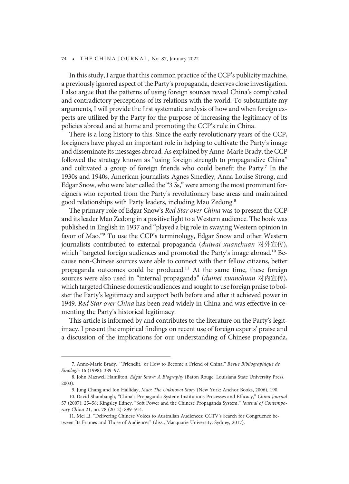In this study, I argue that this common practice of the CCP's publicity machine, a previously ignored aspect of the Party's propaganda, deserves close investigation. I also argue that the patterns of using foreign sources reveal China's complicated and contradictory perceptions of its relations with the world. To substantiate my arguments, I will provide the first systematic analysis of how and when foreign experts are utilized by the Party for the purpose of increasing the legitimacy of its policies abroad and at home and promoting the CCP's rule in China.

There is a long history to this. Since the early revolutionary years of the CCP, foreigners have played an important role in helping to cultivate the Party's image and disseminate its messages abroad. As explained by Anne-Marie Brady, the CCP followed the strategy known as "using foreign strength to propagandize China" and cultivated a group of foreign friends who could benefit the Party.<sup>7</sup> In the 1930s and 1940s, American journalists Agnes Smedley, Anna Louise Strong, and Edgar Snow, who were later called the "3 Ss," were among the most prominent foreigners who reported from the Party's revolutionary base areas and maintained good relationships with Party leaders, including Mao Zedong.8

The primary role of Edgar Snow's Red Star over China was to present the CCP and its leader Mao Zedong in a positive light to a Western audience. The book was published in English in 1937 and "played a big role in swaying Western opinion in favor of Mao."<sup>9</sup> To use the CCP's terminology, Edgar Snow and other Western journalists contributed to external propaganda (duiwai xuanchuan 对外宣传), which "targeted foreign audiences and promoted the Party's image abroad.<sup>10</sup> Because non-Chinese sources were able to connect with their fellow citizens, better propaganda outcomes could be produced.11 At the same time, these foreign sources were also used in "internal propaganda" (duinei xuanchuan 对内宣传), which targeted Chinese domestic audiences and sought to use foreign praise to bolster the Party's legitimacy and support both before and after it achieved power in 1949. Red Star over China has been read widely in China and was effective in cementing the Party's historical legitimacy.

This article is informed by and contributes to the literature on the Party's legitimacy. I present the empirical findings on recent use of foreign experts' praise and a discussion of the implications for our understanding of Chinese propaganda,

<sup>7.</sup> Anne-Marie Brady, "'Friendlit,' or How to Become a Friend of China," Revue Bibliographique de Sinologie 16 (1998): 389–97.

<sup>8.</sup> John Maxwell Hamilton, Edgar Snow: A Biography (Baton Rouge: Louisiana State University Press, 2003).

<sup>9.</sup> Jung Chang and Jon Halliday, Mao: The Unknown Story (New York: Anchor Books, 2006), 190.

<sup>10.</sup> David Shambaugh, "China's Propaganda System: Institutions Processes and Efficacy," China Journal 57 (2007): 25–58; Kingsley Edney, "Soft Power and the Chinese Propaganda System," Journal of Contemporary China 21, no. 78 (2012): 899–914.

<sup>11.</sup> Mei Li, "Delivering Chinese Voices to Australian Audiences: CCTV's Search for Congruence between Its Frames and Those of Audiences" (diss., Macquarie University, Sydney, 2017).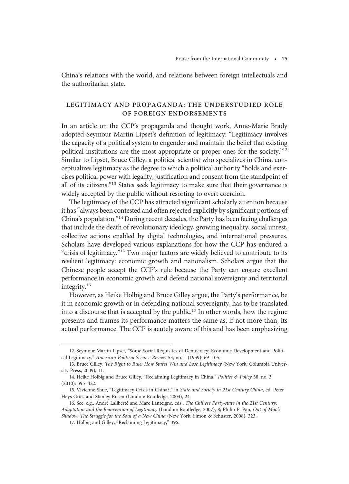China's relations with the world, and relations between foreign intellectuals and the authoritarian state.

# LEGITIMACY AND PROPAGANDA: THE UNDERSTUDIED ROLE OF FOREIGN ENDORSEMENTS

In an article on the CCP's propaganda and thought work, Anne-Marie Brady adopted Seymour Martin Lipset's definition of legitimacy: "Legitimacy involves the capacity of a political system to engender and maintain the belief that existing political institutions are the most appropriate or proper ones for the society."<sup>12</sup> Similar to Lipset, Bruce Gilley, a political scientist who specializes in China, conceptualizes legitimacy as the degree to which a political authority "holds and exercises political power with legality, justification and consent from the standpoint of all of its citizens."<sup>13</sup> States seek legitimacy to make sure that their governance is widely accepted by the public without resorting to overt coercion.

The legitimacy of the CCP has attracted significant scholarly attention because it has"always been contested and often rejected explicitly by significant portions of China's population."<sup>14</sup> During recent decades, the Party has been facing challenges that include the death of revolutionary ideology, growing inequality, social unrest, collective actions enabled by digital technologies, and international pressures. Scholars have developed various explanations for how the CCP has endured a "crisis of legitimacy."<sup>15</sup> Two major factors are widely believed to contribute to its resilient legitimacy: economic growth and nationalism. Scholars argue that the Chinese people accept the CCP's rule because the Party can ensure excellent performance in economic growth and defend national sovereignty and territorial integrity.16

However, as Heike Holbig and Bruce Gilley argue, the Party's performance, be it in economic growth or in defending national sovereignty, has to be translated into a discourse that is accepted by the public.<sup>17</sup> In other words, how the regime presents and frames its performance matters the same as, if not more than, its actual performance. The CCP is acutely aware of this and has been emphasizing

<sup>12.</sup> Seymour Martin Lipset, "Some Social Requisites of Democracy: Economic Development and Political Legitimacy," American Political Science Review 53, no. 1 (1959): 69–105.

<sup>13.</sup> Bruce Gilley, The Right to Rule: How States Win and Lose Legitimacy (New York: Columbia University Press, 2009), 11.

<sup>14.</sup> Heike Holbig and Bruce Gilley, "Reclaiming Legitimacy in China," Politics & Policy 38, no. 3 (2010): 395–422.

<sup>15.</sup> Vivienne Shue, "Legitimacy Crisis in China?," in State and Society in 21st Century China, ed. Peter Hays Gries and Stanley Rosen (London: Routledge, 2004), 24.

<sup>16.</sup> See, e.g., André Laliberté and Marc Lanteigne, eds., The Chinese Party-state in the 21st Century: Adaptation and the Reinvention of Legitimacy (London: Routledge, 2007), 8; Philip P. Pan, Out of Mao's Shadow: The Struggle for the Soul of a New China (New York: Simon & Schuster, 2008), 323.

<sup>17.</sup> Holbig and Gilley, "Reclaiming Legitimacy," 396.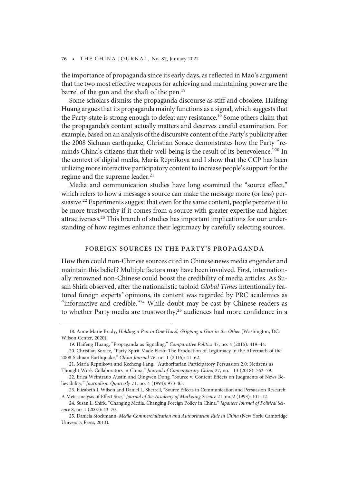the importance of propaganda since its early days, as reflected in Mao's argument that the two most effective weapons for achieving and maintaining power are the barrel of the gun and the shaft of the pen.<sup>18</sup>

Some scholars dismiss the propaganda discourse as stiff and obsolete. Haifeng Huang argues that its propaganda mainly functions as a signal, which suggests that the Party-state is strong enough to defeat any resistance.<sup>19</sup> Some others claim that the propaganda's content actually matters and deserves careful examination. For example, based on an analysis of the discursive content of the Party's publicity after the 2008 Sichuan earthquake, Christian Sorace demonstrates how the Party "reminds China's citizens that their well-being is the result of its benevolence."<sup>20</sup> In the context of digital media, Maria Repnikova and I show that the CCP has been utilizing more interactive participatory content to increase people's support for the regime and the supreme leader.<sup>21</sup>

Media and communication studies have long examined the "source effect," which refers to how a message's source can make the message more (or less) persuasive.<sup>22</sup> Experiments suggest that even for the same content, people perceive it to be more trustworthy if it comes from a source with greater expertise and higher attractiveness.23 This branch of studies has important implications for our understanding of how regimes enhance their legitimacy by carefully selecting sources.

## FOREIGN SOURCES IN THE PARTY'S PROPAGANDA

How then could non-Chinese sources cited in Chinese news media engender and maintain this belief? Multiple factors may have been involved. First, internationally renowned non-Chinese could boost the credibility of media articles. As Susan Shirk observed, after the nationalistic tabloid Global Times intentionally featured foreign experts' opinions, its content was regarded by PRC academics as "informative and credible."<sup>24</sup> While doubt may be cast by Chinese readers as to whether Party media are trustworthy,<sup>25</sup> audiences had more confidence in a

<sup>18.</sup> Anne-Marie Brady, Holding a Pen in One Hand, Gripping a Gun in the Other (Washington, DC: Wilson Center, 2020).

<sup>19.</sup> Haifeng Huang, "Propaganda as Signaling," Comparative Politics 47, no. 4 (2015): 419–44.

<sup>20.</sup> Christian Sorace, "Party Spirit Made Flesh: The Production of Legitimacy in the Aftermath of the 2008 Sichuan Earthquake," China Journal 76, no. 1 (2016): 41–62.

<sup>21.</sup> Maria Repnikova and Kecheng Fang, "Authoritarian Participatory Persuasion 2.0: Netizens as Thought Work Collaborators in China," Journal of Contemporary China 27, no. 113 (2018): 763–79.

<sup>22.</sup> Erica Weintraub Austin and Qingwen Dong. "Source v. Content Effects on Judgments of News Believability," Journalism Quarterly 71, no. 4 (1994): 973–83.

<sup>23.</sup> Elizabeth J. Wilson and Daniel L. Sherrell, "Source Effects in Communication and Persuasion Research: A Meta-analysis of Effect Size," Journal of the Academy of Marketing Science 21, no. 2 (1993): 101–12.

<sup>24.</sup> Susan L. Shirk, "Changing Media, Changing Foreign Policy in China," Japanese Journal of Political Science 8, no. 1 (2007): 43–70.

<sup>25.</sup> Daniela Stockmann, Media Commercialization and Authoritarian Rule in China (New York: Cambridge University Press, 2013).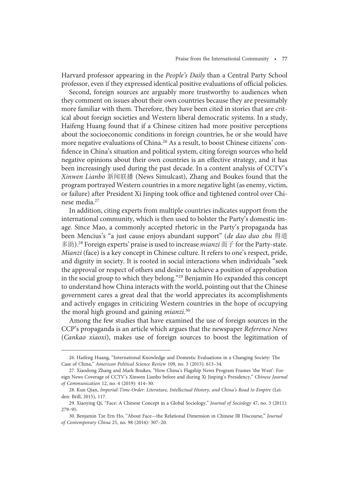Harvard professor appearing in the People's Daily than a Central Party School professor, even if they expressed identical positive evaluations of official policies.

Second, foreign sources are arguably more trustworthy to audiences when they comment on issues about their own countries because they are presumably more familiar with them. Therefore, they have been cited in stories that are critical about foreign societies and Western liberal democratic systems. In a study, Haifeng Huang found that if a Chinese citizen had more positive perceptions about the socioeconomic conditions in foreign countries, he or she would have more negative evaluations of China.<sup>26</sup> As a result, to boost Chinese citizens' confidence in China's situation and political system, citing foreign sources who held negative opinions about their own countries is an effective strategy, and it has been increasingly used during the past decade. In a content analysis of CCTV's Xinwen Lianbo 新闻联播 (News Simulcast), Zhang and Boukes found that the program portrayed Western countries in a more negative light (as enemy, victim, or failure) after President Xi Jinping took office and tightened control over Chinese media.<sup>27</sup>

In addition, citing experts from multiple countries indicates support from the international community, which is then used to bolster the Party's domestic image. Since Mao, a commonly accepted rhetoric in the Party's propaganda has been Mencius's "a just cause enjoys abundant support" (de dao duo zhu 得道 多助).<sup>28</sup> Foreign experts' praise is used to increase *mianzi* 面子 for the Party-state. Mianzi (face) is a key concept in Chinese culture. It refers to one's respect, pride, and dignity in society. It is rooted in social interactions when individuals "seek the approval or respect of others and desire to achieve a position of approbation in the social group to which they belong."<sup>29</sup> Benjamin Ho expanded this concept to understand how China interacts with the world, pointing out that the Chinese government cares a great deal that the world appreciates its accomplishments and actively engages in criticizing Western countries in the hope of occupying the moral high ground and gaining mianzi.<sup>30</sup>

Among the few studies that have examined the use of foreign sources in the CCP's propaganda is an article which argues that the newspaper Reference News (Cankao xiaoxi), makes use of foreign sources to boost the legitimation of

<sup>26.</sup> Haifeng Huang, "International Knowledge and Domestic Evaluations in a Changing Society: The Case of China," American Political Science Review 109, no. 3 (2015): 613–34.

<sup>27.</sup> Xiaodong Zhang and Mark Boukes, "How China's Flagship News Program Frames 'the West': Foreign News Coverage of CCTV's Xinwen Lianbo before and during Xi Jinping's Presidency," Chinese Journal of Communication 12, no. 4 (2019): 414–30.

<sup>28.</sup> Kun Qian, Imperial-Time-Order: Literature, Intellectual History, and China's Road to Empire (Leiden: Brill, 2015), 117.

<sup>29.</sup> Xiaoying Qi, "Face: A Chinese Concept in a Global Sociology," Journal of Sociology 47, no. 3 (2011): 279–95.

<sup>30.</sup> Benjamin Tze Ern Ho, "About Face—the Relational Dimension in Chinese IR Discourse," Journal of Contemporary China 25, no. 98 (2016): 307–20.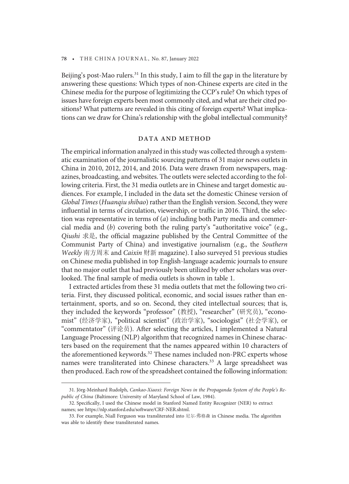Beijing's post-Mao rulers.<sup>31</sup> In this study, I aim to fill the gap in the literature by answering these questions: Which types of non-Chinese experts are cited in the Chinese media for the purpose of legitimizing the CCP's rule? On which types of issues have foreign experts been most commonly cited, and what are their cited positions? What patterns are revealed in this citing of foreign experts? What implications can we draw for China's relationship with the global intellectual community?

## DATA AND METHOD

The empirical information analyzed in this study was collected through a systematic examination of the journalistic sourcing patterns of 31 major news outlets in China in 2010, 2012, 2014, and 2016. Data were drawn from newspapers, magazines, broadcasting, and websites. The outlets were selected according to the following criteria. First, the 31 media outlets are in Chinese and target domestic audiences. For example, I included in the data set the domestic Chinese version of Global Times(Huanqiu shibao) rather than the English version. Second, they were influential in terms of circulation, viewership, or traffic in 2016. Third, the selection was representative in terms of (a) including both Party media and commercial media and (b) covering both the ruling party's "authoritative voice" (e.g., Qiushi 求是, the official magazine published by the Central Committee of the Communist Party of China) and investigative journalism (e.g., the Southern Weekly 南方周末 and Caixin 财新 magazine). I also surveyed 51 previous studies on Chinese media published in top English-language academic journals to ensure that no major outlet that had previously been utilized by other scholars was overlooked. The final sample of media outlets is shown in table 1.

I extracted articles from these 31 media outlets that met the following two criteria. First, they discussed political, economic, and social issues rather than entertainment, sports, and so on. Second, they cited intellectual sources; that is, they included the keywords "professor" (教授), "researcher" (研究员), "economist" (经济学家), "political scientist" (政治学家), "sociologist" (社会学家), or "commentator" (评论员). After selecting the articles, I implemented a Natural Language Processing (NLP) algorithm that recognized names in Chinese characters based on the requirement that the names appeared within 10 characters of the aforementioned keywords.<sup>32</sup> These names included non-PRC experts whose names were transliterated into Chinese characters.<sup>33</sup> A large spreadsheet was then produced. Each row of the spreadsheet contained the following information:

<sup>31.</sup> Jörg-Meinhard Rudolph, Cankao-Xiaoxi: Foreign News in the Propaganda System of the People's Republic of China (Baltimore: University of Maryland School of Law, 1984).

<sup>32.</sup> Specifically, I used the Chinese model in Stanford Named Entity Recognizer (NER) to extract names; see https://nlp.stanford.edu/software/CRF-NER.shtml.

<sup>33.</sup> For example, Niall Ferguson was transliterated into 尼尔·弗格森 in Chinese media. The algorithm was able to identify these transliterated names.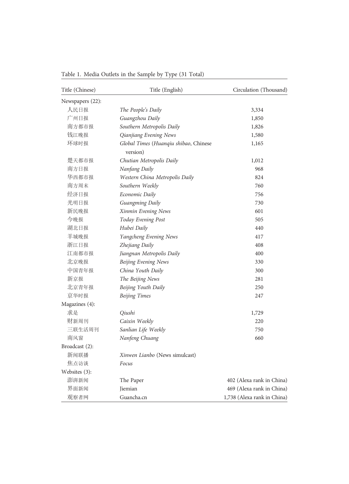| Title (Chinese)  | Title (English)                                   | Circulation (Thousand)      |
|------------------|---------------------------------------------------|-----------------------------|
| Newspapers (22): |                                                   |                             |
| 人民日报             | The People's Daily                                | 3,334                       |
| 广州日报             | Guangzhou Daily                                   | 1,850                       |
| 南方都市报            | Southern Metropolis Daily                         | 1,826                       |
| 钱江晚报             | Qianjiang Evening News                            | 1,580                       |
| 环球时报             | Global Times (Huanqiu shibao, Chinese<br>version) | 1,165                       |
| 楚天都市报            | Chutian Metropolis Daily                          | 1,012                       |
| 南方日报             | Nanfang Daily                                     | 968                         |
| 华西都市报            | Western China Metropolis Daily                    | 824                         |
| 南方周末             | Southern Weekly                                   | 760                         |
| 经济日报             | Economic Daily                                    | 756                         |
| 光明日报             | Guangming Daily                                   | 730                         |
| 新民晚报             | Xinmin Evening News                               | 601                         |
| 今晚报              | Today Evening Post                                | 505                         |
| 湖北日报             | Hubei Daily                                       | 440                         |
| 羊城晚报             | Yangcheng Evening News                            | 417                         |
| 浙江日报             | Zhejiang Daily                                    | 408                         |
| 江南都市报            | Jiangnan Metropolis Daily                         | 400                         |
| 北京晚报             | Beijing Evening News                              | 330                         |
| 中国青年报            | China Youth Daily                                 | 300                         |
| 新京报              | The Beijing News                                  | 281                         |
| 北京青年报            | Beijing Youth Daily                               | 250                         |
| 京华时报             | <b>Beijing Times</b>                              | 247                         |
| Magazines (4):   |                                                   |                             |
| 求是               | Qiushi                                            | 1,729                       |
| 财新周刊             | Caixin Weekly                                     | 220                         |
| 三联生活周刊           | Sanlian Life Weekly                               | 750                         |
| 南风窗              | Nanfeng Chuang                                    | 660                         |
| Broadcast (2):   |                                                   |                             |
| 新闻联播             | <i>Xinwen Lianbo</i> (News simulcast)             |                             |
| 焦点访谈             | Focus                                             |                             |
| Websites (3):    |                                                   |                             |
| 澎湃新闻             | The Paper                                         | 402 (Alexa rank in China)   |
| 界面新闻             | Jiemian                                           | 469 (Alexa rank in China)   |
| 观察者网             | Guancha.cn                                        | 1,738 (Alexa rank in China) |

Table 1. Media Outlets in the Sample by Type (31 Total)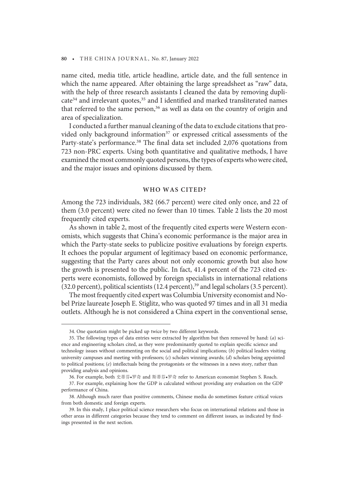name cited, media title, article headline, article date, and the full sentence in which the name appeared. After obtaining the large spreadsheet as "raw" data, with the help of three research assistants I cleaned the data by removing dupli- $\text{cate}^{34}$  and irrelevant quotes, $35$  and I identified and marked transliterated names that referred to the same person, $36$  as well as data on the country of origin and area of specialization.

I conducted a further manual cleaning of the data to exclude citations that provided only background information<sup>37</sup> or expressed critical assessments of the Party-state's performance.<sup>38</sup> The final data set included 2,076 quotations from 723 non-PRC experts. Using both quantitative and qualitative methods, I have examined the most commonly quoted persons, the types of experts who were cited, and the major issues and opinions discussed by them.

## WHO WAS CITED?

Among the 723 individuals, 382 (66.7 percent) were cited only once, and 22 of them (3.0 percent) were cited no fewer than 10 times. Table 2 lists the 20 most frequently cited experts.

As shown in table 2, most of the frequently cited experts were Western economists, which suggests that China's economic performance is the major area in which the Party-state seeks to publicize positive evaluations by foreign experts. It echoes the popular argument of legitimacy based on economic performance, suggesting that the Party cares about not only economic growth but also how the growth is presented to the public. In fact, 41.4 percent of the 723 cited experts were economists, followed by foreign specialists in international relations (32.0 percent), political scientists (12.4 percent),<sup>39</sup> and legal scholars (3.5 percent).

The most frequently cited expert was Columbia University economist and Nobel Prize laureate Joseph E. Stiglitz, who was quoted 97 times and in all 31 media outlets. Although he is not considered a China expert in the conventional sense,

<sup>34.</sup> One quotation might be picked up twice by two different keywords.

<sup>35.</sup> The following types of data entries were extracted by algorithm but then removed by hand: (a) science and engineering scholars cited, as they were predominantly quoted to explain specific science and technology issues without commenting on the social and political implications; (b) political leaders visiting university campuses and meeting with professors; (c) scholars winning awards; (d) scholars being appointed to political positions; (e) intellectuals being the protagonists or the witnesses in a news story, rather than providing analysis and opinions.

<sup>36.</sup> For example, both 史蒂芬•罗奇 and 斯蒂芬•罗奇 refer to American economist Stephen S. Roach.

<sup>37.</sup> For example, explaining how the GDP is calculated without providing any evaluation on the GDP performance of China.

<sup>38.</sup> Although much rarer than positive comments, Chinese media do sometimes feature critical voices from both domestic and foreign experts.

<sup>39.</sup> In this study, I place political science researchers who focus on international relations and those in other areas in different categories because they tend to comment on different issues, as indicated by findings presented in the next section.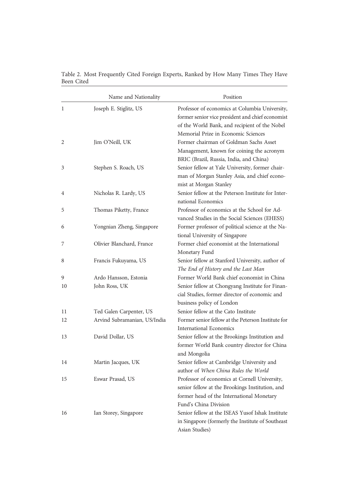| Name and Nationality |                                        | Position                                                                                                                                                                                   |  |
|----------------------|----------------------------------------|--------------------------------------------------------------------------------------------------------------------------------------------------------------------------------------------|--|
| 1                    | Joseph E. Stiglitz, US                 | Professor of economics at Columbia University,<br>former senior vice president and chief economist<br>of the World Bank, and recipient of the Nobel<br>Memorial Prize in Economic Sciences |  |
| 2                    | Jim O'Neill, UK                        | Former chairman of Goldman Sachs Asset<br>Management, known for coining the acronym<br>BRIC (Brazil, Russia, India, and China)                                                             |  |
| 3                    | Stephen S. Roach, US                   | Senior fellow at Yale University, former chair-<br>man of Morgan Stanley Asia, and chief econo-<br>mist at Morgan Stanley                                                                  |  |
| 4                    | Nicholas R. Lardy, US                  | Senior fellow at the Peterson Institute for Inter-<br>national Economics                                                                                                                   |  |
| 5                    | Thomas Piketty, France                 | Professor of economics at the School for Ad-<br>vanced Studies in the Social Sciences (EHESS)                                                                                              |  |
| 6                    | Yongnian Zheng, Singapore              | Former professor of political science at the Na-<br>tional University of Singapore                                                                                                         |  |
| 7                    | Olivier Blanchard, France              | Former chief economist at the International<br>Monetary Fund                                                                                                                               |  |
| 8                    | Francis Fukuyama, US                   | Senior fellow at Stanford University, author of<br>The End of History and the Last Man                                                                                                     |  |
| 9<br>10              | Ardo Hansson, Estonia<br>John Ross, UK | Former World Bank chief economist in China<br>Senior fellow at Chongyang Institute for Finan-<br>cial Studies, former director of economic and<br>business policy of London                |  |
| 11                   | Ted Galen Carpenter, US                | Senior fellow at the Cato Institute                                                                                                                                                        |  |
| 12                   | Arvind Subramanian, US/India           | Former senior fellow at the Peterson Institute for<br><b>International Economics</b>                                                                                                       |  |
| 13                   | David Dollar, US                       | Senior fellow at the Brookings Institution and<br>former World Bank country director for China<br>and Mongolia                                                                             |  |
| 14                   | Martin Jacques, UK                     | Senior fellow at Cambridge University and<br>author of When China Rules the World                                                                                                          |  |
| 15                   | Eswar Prasad, US                       | Professor of economics at Cornell University,<br>senior fellow at the Brookings Institution, and<br>former head of the International Monetary<br>Fund's China Division                     |  |
| 16                   | Ian Storey, Singapore                  | Senior fellow at the ISEAS Yusof Ishak Institute<br>in Singapore (formerly the Institute of Southeast<br>Asian Studies)                                                                    |  |

Table 2. Most Frequently Cited Foreign Experts, Ranked by How Many Times They Have Been Cited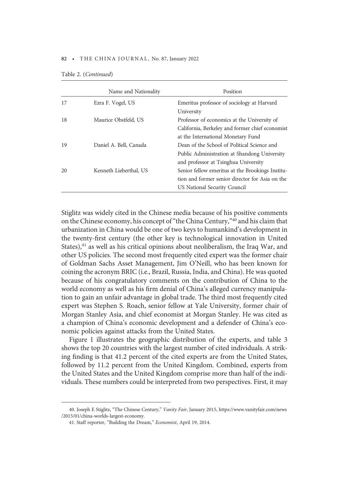|    | Name and Nationality   | Position                                         |
|----|------------------------|--------------------------------------------------|
| 17 | Ezra F. Vogel, US      | Emeritus professor of sociology at Harvard       |
|    |                        | University                                       |
| 18 | Maurice Obstfeld, US   | Professor of economics at the University of      |
|    |                        | California, Berkeley and former chief economist  |
|    |                        | at the International Monetary Fund               |
| 19 | Daniel A. Bell, Canada | Dean of the School of Political Science and      |
|    |                        | Public Administration at Shandong University     |
|    |                        | and professor at Tsinghua University             |
| 20 | Kenneth Lieberthal, US | Senior fellow emeritus at the Brookings Institu- |
|    |                        | tion and former senior director for Asia on the  |
|    |                        | US National Security Council                     |

Table 2. (Continued)

Stiglitz was widely cited in the Chinese media because of his positive comments on the Chinese economy, his concept of"the China Century,"<sup>40</sup> and his claim that urbanization in China would be one of two keys to humankind's development in the twenty-first century (the other key is technological innovation in United States), $41$  as well as his critical opinions about neoliberalism, the Iraq War, and other US policies. The second most frequently cited expert was the former chair of Goldman Sachs Asset Management, Jim O'Neill, who has been known for coining the acronym BRIC (i.e., Brazil, Russia, India, and China). He was quoted because of his congratulatory comments on the contribution of China to the world economy as well as his firm denial of China's alleged currency manipulation to gain an unfair advantage in global trade. The third most frequently cited expert was Stephen S. Roach, senior fellow at Yale University, former chair of Morgan Stanley Asia, and chief economist at Morgan Stanley. He was cited as a champion of China's economic development and a defender of China's economic policies against attacks from the United States.

Figure 1 illustrates the geographic distribution of the experts, and table 3 shows the top 20 countries with the largest number of cited individuals. A striking finding is that 41.2 percent of the cited experts are from the United States, followed by 11.2 percent from the United Kingdom. Combined, experts from the United States and the United Kingdom comprise more than half of the individuals. These numbers could be interpreted from two perspectives. First, it may

<sup>40.</sup> Joseph E Stiglitz, "The Chinese Century," Vanity Fair, January 2015, https://www.vanityfair.com/news /2015/01/china-worlds-largest-economy.

<sup>41.</sup> Staff reporter, "Building the Dream," Economist, April 19, 2014.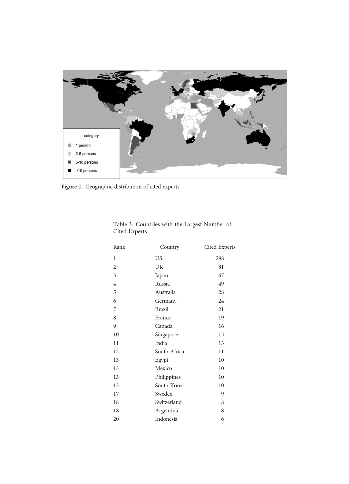

Figure 1. Geographic distribution of cited experts

| Rank           | Country       | Cited Experts |
|----------------|---------------|---------------|
| 1              | US            | 298           |
| $\overline{2}$ | UK            | 81            |
| 3              | Japan         | 67            |
| $\overline{4}$ | Russia        | 49            |
| 5              | Australia     | 28            |
| 6              | Germany       | 24            |
| 7              | <b>Brazil</b> | 21            |
| 8              | France        | 19            |
| 9              | Canada        | 16            |
| 10             | Singapore     | 15            |
| 11             | India         | 13            |
| 12             | South Africa  | 11            |
| 13             | Egypt         | 10            |
| 13             | Mexico        | 10            |
| 13             | Philippines   | 10            |
| 13             | South Korea   | 10            |
| 17             | Sweden        | 9             |
| 18             | Switzerland   | 8             |
| 18             | Argentina     | 8             |
| 20             | Indonesia     | 6             |

Table 3. Countries with the Largest Number of Cited Experts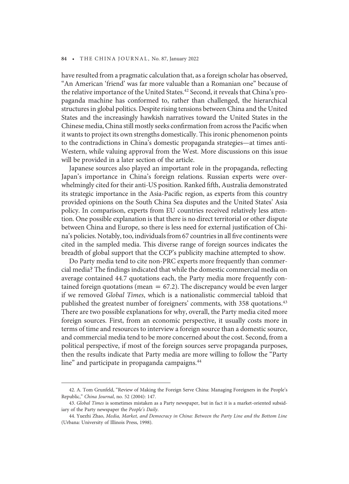have resulted from a pragmatic calculation that, as a foreign scholar has observed, "An American 'friend' was far more valuable than a Romanian one" because of the relative importance of the United States.<sup>42</sup> Second, it reveals that China's propaganda machine has conformed to, rather than challenged, the hierarchical structures in global politics. Despite rising tensions between China and the United States and the increasingly hawkish narratives toward the United States in the Chinese media, China still mostly seeks confirmation from across the Pacific when it wants to project its own strengths domestically. This ironic phenomenon points to the contradictions in China's domestic propaganda strategies—at times anti-Western, while valuing approval from the West. More discussions on this issue will be provided in a later section of the article.

Japanese sources also played an important role in the propaganda, reflecting Japan's importance in China's foreign relations. Russian experts were overwhelmingly cited for their anti-US position. Ranked fifth, Australia demonstrated its strategic importance in the Asia-Pacific region, as experts from this country provided opinions on the South China Sea disputes and the United States' Asia policy. In comparison, experts from EU countries received relatively less attention. One possible explanation is that there is no direct territorial or other dispute between China and Europe, so there is less need for external justification of China's policies. Notably, too, individuals from 67 countries in all five continents were cited in the sampled media. This diverse range of foreign sources indicates the breadth of global support that the CCP's publicity machine attempted to show.

Do Party media tend to cite non-PRC experts more frequently than commercial media? The findings indicated that while the domestic commercial media on average contained 44.7 quotations each, the Party media more frequently contained foreign quotations (mean  $= 67.2$ ). The discrepancy would be even larger if we removed Global Times, which is a nationalistic commercial tabloid that published the greatest number of foreigners' comments, with 358 quotations.<sup>43</sup> There are two possible explanations for why, overall, the Party media cited more foreign sources. First, from an economic perspective, it usually costs more in terms of time and resources to interview a foreign source than a domestic source, and commercial media tend to be more concerned about the cost. Second, from a political perspective, if most of the foreign sources serve propaganda purposes, then the results indicate that Party media are more willing to follow the "Party line" and participate in propaganda campaigns.<sup>44</sup>

<sup>42.</sup> A. Tom Grunfeld, "Review of Making the Foreign Serve China: Managing Foreigners in the People's Republic," China Journal, no. 52 (2004): 147.

<sup>43.</sup> Global Times is sometimes mistaken as a Party newspaper, but in fact it is a market-oriented subsidiary of the Party newspaper the People's Daily.

<sup>44.</sup> Yuezhi Zhao, Media, Market, and Democracy in China: Between the Party Line and the Bottom Line (Urbana: University of Illinois Press, 1998).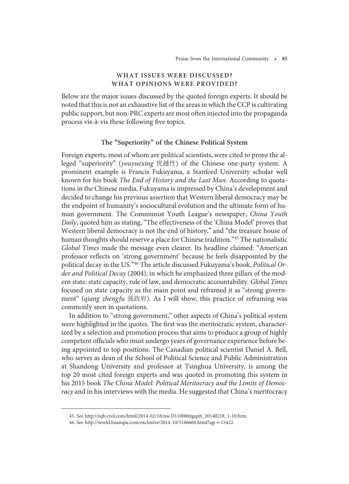# WHAT ISSUES WERE DISCUSSED? WHAT OPINIONS WERE PROVIDED?

Below are the major issues discussed by the quoted foreign experts. It should be noted that this is not an exhaustive list of the areas in which the CCP is cultivating public support, but non-PRC experts are most often injected into the propaganda process vis-à-vis these following five topics.

# The "Superiority" of the Chinese Political System

Foreign experts, most of whom are political scientists, were cited to prove the alleged "superiority" (youyuexing 优越性) of the Chinese one-party system. A prominent example is Francis Fukuyama, a Stanford University scholar well known for his book The End of History and the Last Man. According to quotations in the Chinese media, Fukuyama is impressed by China's development and decided to change his previous assertion that Western liberal democracy may be the endpoint of humanity's sociocultural evolution and the ultimate form of human government. The Communist Youth League's newspaper, China Youth Daily, quoted him as stating, "The effectiveness of the 'China Model' proves that Western liberal democracy is not the end of history," and "the treasure house of human thoughts should reserve a place for Chinese tradition."<sup>45</sup> The nationalistic Global Times made the message even clearer. Its headline claimed: "American professor reflects on 'strong government' because he feels disappointed by the political decay in the US."<sup>46</sup> The article discussed Fukuyama's book, Political Order and Political Decay (2004), in which he emphasized three pillars of the modern state: state capacity, rule of law, and democratic accountability. Global Times focused on state capacity as the main point and reframed it as "strong government" (qiang zhengfu 强政府). As I will show, this practice of reframing was commonly seen in quotations.

In addition to "strong government," other aspects of China's political system were highlighted in the quotes. The first was the meritocratic system, characterized by a selection and promotion process that aims to produce a group of highly competent officials who must undergo years of governance experience before being appointed to top positions. The Canadian political scientist Daniel A. Bell, who serves as dean of the School of Political Science and Public Administration at Shandong University and professor at Tsinghua University, is among the top 20 most cited foreign experts and was quoted in promoting this system in his 2015 book The China Model: Political Meritocracy and the Limits of Democracy and in his interviews with the media. He suggested that China's meritocracy

<sup>45.</sup> See http://zqb.cyol.com/html/2014-02/18/nw.D110000zgqnb\_20140218\_1-10.htm.

<sup>46.</sup> See http://world.huanqiu.com/exclusive/2014-10/5166660.html?agt = 15422.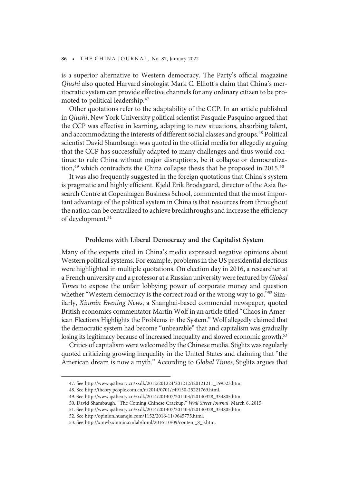is a superior alternative to Western democracy. The Party's official magazine Qiushi also quoted Harvard sinologist Mark C. Elliott's claim that China's meritocratic system can provide effective channels for any ordinary citizen to be promoted to political leadership.<sup>47</sup>

Other quotations refer to the adaptability of the CCP. In an article published in Qiushi, New York University political scientist Pasquale Pasquino argued that the CCP was effective in learning, adapting to new situations, absorbing talent, and accommodating the interests of different social classes and groups.<sup>48</sup> Political scientist David Shambaugh was quoted in the official media for allegedly arguing that the CCP has successfully adapted to many challenges and thus would continue to rule China without major disruptions, be it collapse or democratization, $49$  which contradicts the China collapse thesis that he proposed in 2015.<sup>50</sup>

It was also frequently suggested in the foreign quotations that China's system is pragmatic and highly efficient. Kjeld Erik Brodsgaard, director of the Asia Research Centre at Copenhagen Business School, commented that the most important advantage of the political system in China is that resources from throughout the nation can be centralized to achieve breakthroughs and increase the efficiency of development.<sup>51</sup>

## Problems with Liberal Democracy and the Capitalist System

Many of the experts cited in China's media expressed negative opinions about Western political systems. For example, problems in the US presidential elections were highlighted in multiple quotations. On election day in 2016, a researcher at a French university and a professor at a Russian university were featured by Global Times to expose the unfair lobbying power of corporate money and question whether "Western democracy is the correct road or the wrong way to go."<sup>52</sup> Similarly, Xinmin Evening News, a Shanghai-based commercial newspaper, quoted British economics commentator Martin Wolf in an article titled "Chaos in American Elections Highlights the Problems in the System." Wolf allegedly claimed that the democratic system had become "unbearable" that and capitalism was gradually losing its legitimacy because of increased inequality and slowed economic growth.<sup>53</sup>

Critics of capitalism were welcomed by the Chinese media. Stiglitz was regularly quoted criticizing growing inequality in the United States and claiming that "the American dream is now a myth." According to Global Times, Stiglitz argues that

<sup>47.</sup> See http://www.qstheory.cn/zxdk/2012/201224/201212/t20121211\_199523.htm.

<sup>48.</sup> See http://theory.people.com.cn/n/2014/0701/c49150-25221769.html.

<sup>49.</sup> See http://www.qstheory.cn/zxdk/2014/201407/201403/t20140328\_334805.htm.

<sup>50.</sup> David Shambaugh, "The Coming Chinese Crackup," Wall Street Journal, March 6, 2015.

<sup>51.</sup> See http://www.qstheory.cn/zxdk/2014/201407/201403/t20140328\_334805.htm.

<sup>52.</sup> See http://opinion.huanqiu.com/1152/2016-11/9645775.html.

<sup>53.</sup> See http://xmwb.xinmin.cn/lab/html/2016-10/09/content\_8\_3.htm.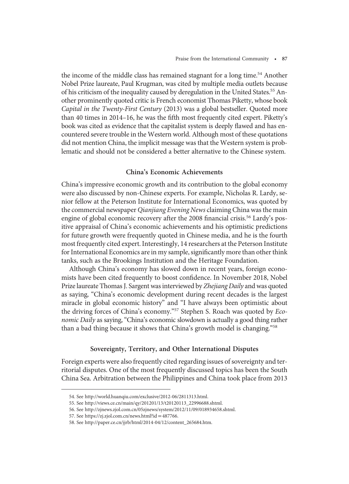the income of the middle class has remained stagnant for a long time.<sup>54</sup> Another Nobel Prize laureate, Paul Krugman, was cited by multiple media outlets because of his criticism of the inequality caused by deregulation in the United States.<sup>55</sup> Another prominently quoted critic is French economist Thomas Piketty, whose book Capital in the Twenty-First Century (2013) was a global bestseller. Quoted more than 40 times in 2014–16, he was the fifth most frequently cited expert. Piketty's book was cited as evidence that the capitalist system is deeply flawed and has encountered severe trouble in the Western world. Although most of these quotations did not mention China, the implicit message was that the Western system is problematic and should not be considered a better alternative to the Chinese system.

# China's Economic Achievements

China's impressive economic growth and its contribution to the global economy were also discussed by non-Chinese experts. For example, Nicholas R. Lardy, senior fellow at the Peterson Institute for International Economics, was quoted by the commercial newspaper Qianjiang Evening News claiming China was the main engine of global economic recovery after the 2008 financial crisis.<sup>56</sup> Lardy's positive appraisal of China's economic achievements and his optimistic predictions for future growth were frequently quoted in Chinese media, and he is the fourth most frequently cited expert. Interestingly, 14 researchers at the Peterson Institute for International Economics are in my sample, significantly more than other think tanks, such as the Brookings Institution and the Heritage Foundation.

Although China's economy has slowed down in recent years, foreign economists have been cited frequently to boost confidence. In November 2018, Nobel Prize laureate Thomas J. Sargent was interviewed by Zhejiang Daily and was quoted as saying, "China's economic development during recent decades is the largest miracle in global economic history" and "I have always been optimistic about the driving forces of China's economy."<sup>57</sup> Stephen S. Roach was quoted by Economic Daily as saying, "China's economic slowdown is actually a good thing rather than a bad thing because it shows that China's growth model is changing."<sup>58</sup>

# Sovereignty, Territory, and Other International Disputes

Foreign experts were also frequently cited regarding issues of sovereignty and territorial disputes. One of the most frequently discussed topics has been the South China Sea. Arbitration between the Philippines and China took place from 2013

<sup>54.</sup> See http://world.huanqiu.com/exclusive/2012-06/2811313.html.

<sup>55.</sup> See http://views.ce.cn/main/qy/201201/13/t20120113\_22996688.shtml.

<sup>56.</sup> See http://zjnews.zjol.com.cn/05zjnews/system/2012/11/09/018934658.shtml.

<sup>57.</sup> See https://zj.zjol.com.cn/news.html?id=487766.

<sup>58.</sup> See http://paper.ce.cn/jjrb/html/2014-04/12/content\_265684.htm.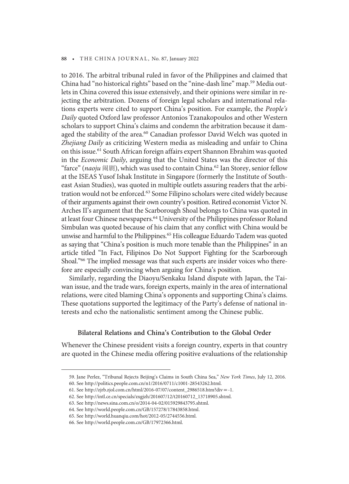to 2016. The arbitral tribunal ruled in favor of the Philippines and claimed that China had "no historical rights" based on the "nine-dash line" map.<sup>59</sup> Media outlets in China covered this issue extensively, and their opinions were similar in rejecting the arbitration. Dozens of foreign legal scholars and international relations experts were cited to support China's position. For example, the People's Daily quoted Oxford law professor Antonios Tzanakopoulos and other Western scholars to support China's claims and condemn the arbitration because it damaged the stability of the area.<sup>60</sup> Canadian professor David Welch was quoted in Zhejiang Daily as criticizing Western media as misleading and unfair to China on this issue.<sup>61</sup> South African foreign affairs expert Shannon Ebrahim was quoted in the Economic Daily, arguing that the United States was the director of this "farce" (naoju 闹剧), which was used to contain China.<sup>62</sup> Ian Storey, senior fellow at the ISEAS Yusof Ishak Institute in Singapore (formerly the Institute of Southeast Asian Studies), was quoted in multiple outlets assuring readers that the arbitration would not be enforced.<sup>63</sup> Some Filipino scholars were cited widely because of their arguments against their own country's position. Retired economist Victor N. Arches II's argument that the Scarborough Shoal belongs to China was quoted in at least four Chinese newspapers.<sup>64</sup> University of the Philippines professor Roland Simbulan was quoted because of his claim that any conflict with China would be unwise and harmful to the Philippines.<sup>65</sup> His colleague Eduardo Tadem was quoted as saying that "China's position is much more tenable than the Philippines" in an article titled "In Fact, Filipinos Do Not Support Fighting for the Scarborough Shoal."<sup>66</sup> The implied message was that such experts are insider voices who therefore are especially convincing when arguing for China's position.

Similarly, regarding the Diaoyu/Senkaku Island dispute with Japan, the Taiwan issue, and the trade wars, foreign experts, mainly in the area of international relations, were cited blaming China's opponents and supporting China's claims. These quotations supported the legitimacy of the Party's defense of national interests and echo the nationalistic sentiment among the Chinese public.

## Bilateral Relations and China's Contribution to the Global Order

Whenever the Chinese president visits a foreign country, experts in that country are quoted in the Chinese media offering positive evaluations of the relationship

<sup>59.</sup> Jane Perlez, "Tribunal Rejects Beijing's Claims in South China Sea," New York Times, July 12, 2016.

<sup>60.</sup> See http://politics.people.com.cn/n1/2016/0711/c1001-28543262.html.

<sup>61.</sup> See http://zjrb.zjol.com.cn/html/2016-07/07/content\_2986518.htm?div = -1.

<sup>62.</sup> See http://intl.ce.cn/specials/zxgjzh/201607/12/t20160712\_13718905.shtml.

<sup>63.</sup> See http://news.sina.com.cn/o/2014-04-02/015929843795.shtml.

<sup>64.</sup> See http://world.people.com.cn/GB/157278/17843858.html.

<sup>65.</sup> See http://world.huanqiu.com/hot/2012-05/2744556.html.

<sup>66.</sup> See http://world.people.com.cn/GB/17972366.html.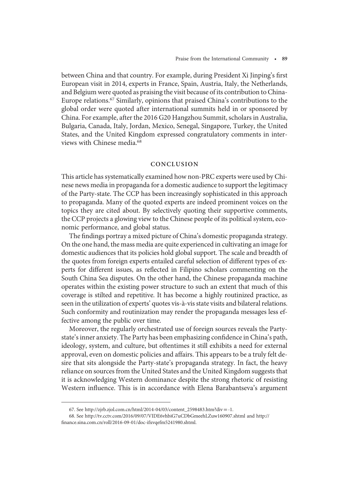between China and that country. For example, during President Xi Jinping's first European visit in 2014, experts in France, Spain, Austria, Italy, the Netherlands, and Belgium were quoted as praising the visit because of its contribution to China-Europe relations.67 Similarly, opinions that praised China's contributions to the global order were quoted after international summits held in or sponsored by China. For example, after the 2016 G20 Hangzhou Summit, scholars in Australia, Bulgaria, Canada, Italy, Jordan, Mexico, Senegal, Singapore, Turkey, the United States, and the United Kingdom expressed congratulatory comments in interviews with Chinese media.<sup>68</sup>

# CONCLUSION

This article has systematically examined how non-PRC experts were used by Chinese news media in propaganda for a domestic audience to support the legitimacy of the Party-state. The CCP has been increasingly sophisticated in this approach to propaganda. Many of the quoted experts are indeed prominent voices on the topics they are cited about. By selectively quoting their supportive comments, the CCP projects a glowing view to the Chinese people of its political system, economic performance, and global status.

The findings portray a mixed picture of China's domestic propaganda strategy. On the one hand, the mass media are quite experienced in cultivating an image for domestic audiences that its policies hold global support. The scale and breadth of the quotes from foreign experts entailed careful selection of different types of experts for different issues, as reflected in Filipino scholars commenting on the South China Sea disputes. On the other hand, the Chinese propaganda machine operates within the existing power structure to such an extent that much of this coverage is stilted and repetitive. It has become a highly routinized practice, as seen in the utilization of experts' quotes vis-à-vis state visits and bilateral relations. Such conformity and routinization may render the propaganda messages less effective among the public over time.

Moreover, the regularly orchestrated use of foreign sources reveals the Partystate's inner anxiety. The Party has been emphasizing confidence in China's path, ideology, system, and culture, but oftentimes it still exhibits a need for external approval, even on domestic policies and affairs. This appears to be a truly felt desire that sits alongside the Party-state's propaganda strategy. In fact, the heavy reliance on sources from the United States and the United Kingdom suggests that it is acknowledging Western dominance despite the strong rhetoric of resisting Western influence. This is in accordance with Elena Barabantseva's argument

<sup>67.</sup> See http://zjrb.zjol.com.cn/html/2014-04/03/content\_2598483.htm?div = -1.

<sup>68.</sup> See http://tv.cctv.com/2016/09/07/VIDE6vhbiG7uCDbGmeehLZuw160907.shtml and http:// finance.sina.com.cn/roll/2016-09-01/doc-ifxvqefm5241980.shtml.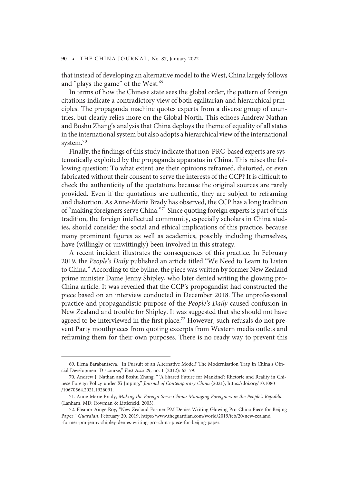that instead of developing an alternative model to the West, China largely follows and "plays the game" of the West.<sup>69</sup>

In terms of how the Chinese state sees the global order, the pattern of foreign citations indicate a contradictory view of both egalitarian and hierarchical principles. The propaganda machine quotes experts from a diverse group of countries, but clearly relies more on the Global North. This echoes Andrew Nathan and Boshu Zhang's analysis that China deploys the theme of equality of all states in the international system but also adopts a hierarchical view of the international system.<sup>70</sup>

Finally, the findings of this study indicate that non-PRC-based experts are systematically exploited by the propaganda apparatus in China. This raises the following question: To what extent are their opinions reframed, distorted, or even fabricated without their consent to serve the interests of the CCP? It is difficult to check the authenticity of the quotations because the original sources are rarely provided. Even if the quotations are authentic, they are subject to reframing and distortion. As Anne-Marie Brady has observed, the CCP has a long tradition of "making foreigners serve China."<sup>71</sup> Since quoting foreign experts is part of this tradition, the foreign intellectual community, especially scholars in China studies, should consider the social and ethical implications of this practice, because many prominent figures as well as academics, possibly including themselves, have (willingly or unwittingly) been involved in this strategy.

A recent incident illustrates the consequences of this practice. In February 2019, the People's Daily published an article titled "We Need to Learn to Listen to China." According to the byline, the piece was written by former New Zealand prime minister Dame Jenny Shipley, who later denied writing the glowing pro-China article. It was revealed that the CCP's propogandist had constructed the piece based on an interview conducted in December 2018. The unprofessional practice and propagandistic purpose of the People's Daily caused confusion in New Zealand and trouble for Shipley. It was suggested that she should not have agreed to be interviewed in the first place.<sup>72</sup> However, such refusals do not prevent Party mouthpieces from quoting excerpts from Western media outlets and reframing them for their own purposes. There is no ready way to prevent this

<sup>69.</sup> Elena Barabantseva, "In Pursuit of an Alternative Model? The Modernisation Trap in China's Official Development Discourse," East Asia 29, no. 1 (2012): 63–79.

<sup>70.</sup> Andrew J. Nathan and Boshu Zhang, " 'A Shared Future for Mankind': Rhetoric and Reality in Chinese Foreign Policy under Xi Jinping," Journal of Contemporary China (2021), https://doi.org/10.1080 /10670564.2021.1926091.

<sup>71.</sup> Anne-Marie Brady, Making the Foreign Serve China: Managing Foreigners in the People's Republic (Lanham, MD: Rowman & Littlefield, 2003).

<sup>72.</sup> Eleanor Ainge Roy, "New Zealand Former PM Denies Writing Glowing Pro-China Piece for Beijing Paper," Guardian, February 20, 2019, https://www.theguardian.com/world/2019/feb/20/new-zealand -former-pm-jenny-shipley-denies-writing-pro-china-piece-for-beijing-paper.